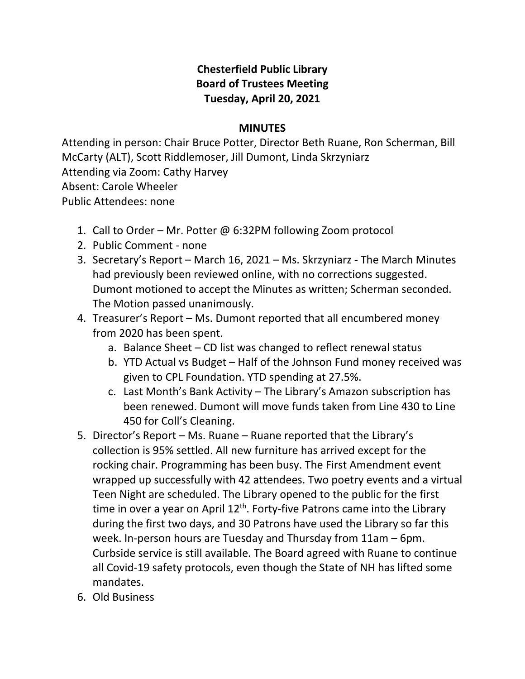## **Chesterfield Public Library Board of Trustees Meeting Tuesday, April 20, 2021**

## **MINUTES**

Attending in person: Chair Bruce Potter, Director Beth Ruane, Ron Scherman, Bill McCarty (ALT), Scott Riddlemoser, Jill Dumont, Linda Skrzyniarz Attending via Zoom: Cathy Harvey Absent: Carole Wheeler Public Attendees: none

- 1. Call to Order Mr. Potter @ 6:32PM following Zoom protocol
- 2. Public Comment none
- 3. Secretary's Report March 16, 2021 Ms. Skrzyniarz The March Minutes had previously been reviewed online, with no corrections suggested. Dumont motioned to accept the Minutes as written; Scherman seconded. The Motion passed unanimously.
- 4. Treasurer's Report Ms. Dumont reported that all encumbered money from 2020 has been spent.
	- a. Balance Sheet CD list was changed to reflect renewal status
	- b. YTD Actual vs Budget Half of the Johnson Fund money received was given to CPL Foundation. YTD spending at 27.5%.
	- c. Last Month's Bank Activity The Library's Amazon subscription has been renewed. Dumont will move funds taken from Line 430 to Line 450 for Coll's Cleaning.
- 5. Director's Report Ms. Ruane Ruane reported that the Library's collection is 95% settled. All new furniture has arrived except for the rocking chair. Programming has been busy. The First Amendment event wrapped up successfully with 42 attendees. Two poetry events and a virtual Teen Night are scheduled. The Library opened to the public for the first time in over a year on April  $12<sup>th</sup>$ . Forty-five Patrons came into the Library during the first two days, and 30 Patrons have used the Library so far this week. In-person hours are Tuesday and Thursday from 11am – 6pm. Curbside service is still available. The Board agreed with Ruane to continue all Covid-19 safety protocols, even though the State of NH has lifted some mandates.
- 6. Old Business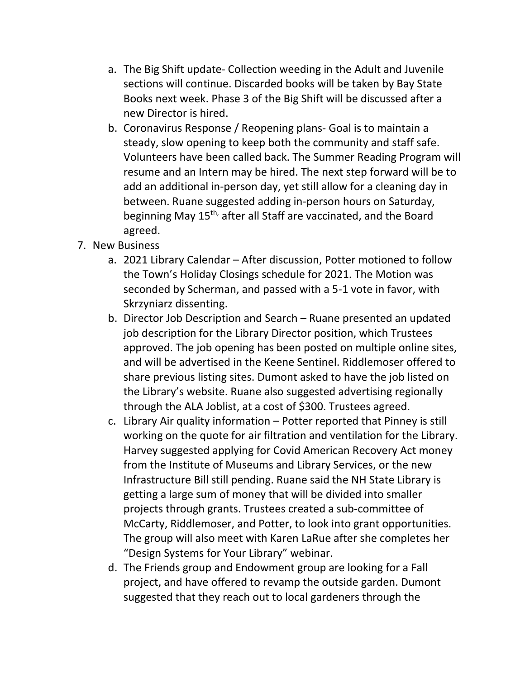- a. The Big Shift update- Collection weeding in the Adult and Juvenile sections will continue. Discarded books will be taken by Bay State Books next week. Phase 3 of the Big Shift will be discussed after a new Director is hired.
- b. Coronavirus Response / Reopening plans- Goal is to maintain a steady, slow opening to keep both the community and staff safe. Volunteers have been called back. The Summer Reading Program will resume and an Intern may be hired. The next step forward will be to add an additional in-person day, yet still allow for a cleaning day in between. Ruane suggested adding in-person hours on Saturday, beginning May 15<sup>th,</sup> after all Staff are vaccinated, and the Board agreed.
- 7. New Business
	- a. 2021 Library Calendar After discussion, Potter motioned to follow the Town's Holiday Closings schedule for 2021. The Motion was seconded by Scherman, and passed with a 5-1 vote in favor, with Skrzyniarz dissenting.
	- b. Director Job Description and Search Ruane presented an updated job description for the Library Director position, which Trustees approved. The job opening has been posted on multiple online sites, and will be advertised in the Keene Sentinel. Riddlemoser offered to share previous listing sites. Dumont asked to have the job listed on the Library's website. Ruane also suggested advertising regionally through the ALA Joblist, at a cost of \$300. Trustees agreed.
	- c. Library Air quality information Potter reported that Pinney is still working on the quote for air filtration and ventilation for the Library. Harvey suggested applying for Covid American Recovery Act money from the Institute of Museums and Library Services, or the new Infrastructure Bill still pending. Ruane said the NH State Library is getting a large sum of money that will be divided into smaller projects through grants. Trustees created a sub-committee of McCarty, Riddlemoser, and Potter, to look into grant opportunities. The group will also meet with Karen LaRue after she completes her "Design Systems for Your Library" webinar.
	- d. The Friends group and Endowment group are looking for a Fall project, and have offered to revamp the outside garden. Dumont suggested that they reach out to local gardeners through the